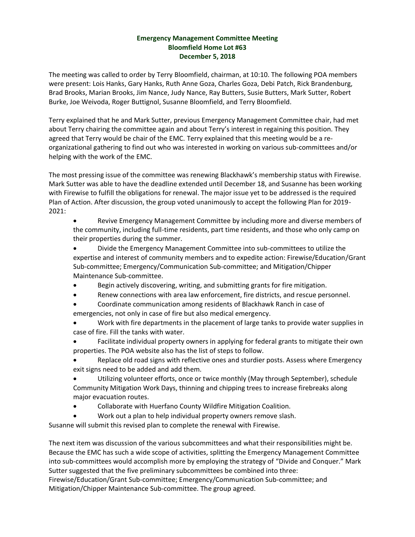## **Emergency Management Committee Meeting Bloomfield Home Lot #63 December 5, 2018**

The meeting was called to order by Terry Bloomfield, chairman, at 10:10. The following POA members were present: Lois Hanks, Gary Hanks, Ruth Anne Goza, Charles Goza, Debi Patch, Rick Brandenburg, Brad Brooks, Marian Brooks, Jim Nance, Judy Nance, Ray Butters, Susie Butters, Mark Sutter, Robert Burke, Joe Weivoda, Roger Buttignol, Susanne Bloomfield, and Terry Bloomfield.

Terry explained that he and Mark Sutter, previous Emergency Management Committee chair, had met about Terry chairing the committee again and about Terry's interest in regaining this position. They agreed that Terry would be chair of the EMC. Terry explained that this meeting would be a reorganizational gathering to find out who was interested in working on various sub-committees and/or helping with the work of the EMC.

The most pressing issue of the committee was renewing Blackhawk's membership status with Firewise. Mark Sutter was able to have the deadline extended until December 18, and Susanne has been working with Firewise to fulfill the obligations for renewal. The major issue yet to be addressed is the required Plan of Action. After discussion, the group voted unanimously to accept the following Plan for 2019- 2021:

• Revive Emergency Management Committee by including more and diverse members of the community, including full-time residents, part time residents, and those who only camp on their properties during the summer.

• Divide the Emergency Management Committee into sub-committees to utilize the expertise and interest of community members and to expedite action: Firewise/Education/Grant Sub-committee; Emergency/Communication Sub-committee; and Mitigation/Chipper Maintenance Sub-committee.

- Begin actively discovering, writing, and submitting grants for fire mitigation.
- Renew connections with area law enforcement, fire districts, and rescue personnel.
- Coordinate communication among residents of Blackhawk Ranch in case of emergencies, not only in case of fire but also medical emergency.
- Work with fire departments in the placement of large tanks to provide water supplies in case of fire. Fill the tanks with water.
- Facilitate individual property owners in applying for federal grants to mitigate their own properties. The POA website also has the list of steps to follow.
- Replace old road signs with reflective ones and sturdier posts. Assess where Emergency exit signs need to be added and add them.
- Utilizing volunteer efforts, once or twice monthly (May through September), schedule Community Mitigation Work Days, thinning and chipping trees to increase firebreaks along major evacuation routes.
- Collaborate with Huerfano County Wildfire Mitigation Coalition.
- Work out a plan to help individual property owners remove slash.

Susanne will submit this revised plan to complete the renewal with Firewise.

The next item was discussion of the various subcommittees and what their responsibilities might be. Because the EMC has such a wide scope of activities, splitting the Emergency Management Committee into sub-committees would accomplish more by employing the strategy of "Divide and Conquer." Mark Sutter suggested that the five preliminary subcommittees be combined into three:

Firewise/Education/Grant Sub-committee; Emergency/Communication Sub-committee; and Mitigation/Chipper Maintenance Sub-committee. The group agreed.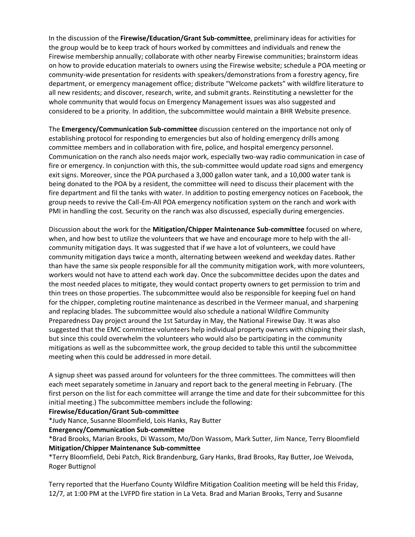In the discussion of the **Firewise/Education/Grant Sub-committee**, preliminary ideas for activities for the group would be to keep track of hours worked by committees and individuals and renew the Firewise membership annually; collaborate with other nearby Firewise communities; brainstorm ideas on how to provide education materials to owners using the Firewise website; schedule a POA meeting or community-wide presentation for residents with speakers/demonstrations from a forestry agency, fire department, or emergency management office; distribute "Welcome packets" with wildfire literature to all new residents; and discover, research, write, and submit grants. Reinstituting a newsletter for the whole community that would focus on Emergency Management issues was also suggested and considered to be a priority. In addition, the subcommittee would maintain a BHR Website presence.

The **Emergency/Communication Sub-committee** discussion centered on the importance not only of establishing protocol for responding to emergencies but also of holding emergency drills among committee members and in collaboration with fire, police, and hospital emergency personnel. Communication on the ranch also needs major work, especially two-way radio communication in case of fire or emergency. In conjunction with this, the sub-committee would update road signs and emergency exit signs. Moreover, since the POA purchased a 3,000 gallon water tank, and a 10,000 water tank is being donated to the POA by a resident, the committee will need to discuss their placement with the fire department and fil the tanks with water. In addition to posting emergency notices on Facebook, the group needs to revive the Call-Em-All POA emergency notification system on the ranch and work with PMI in handling the cost. Security on the ranch was also discussed, especially during emergencies.

Discussion about the work for the **Mitigation/Chipper Maintenance Sub-committee** focused on where, when, and how best to utilize the volunteers that we have and encourage more to help with the allcommunity mitigation days. It was suggested that if we have a lot of volunteers, we could have community mitigation days twice a month, alternating between weekend and weekday dates. Rather than have the same six people responsible for all the community mitigation work, with more volunteers, workers would not have to attend each work day. Once the subcommittee decides upon the dates and the most needed places to mitigate, they would contact property owners to get permission to trim and thin trees on those properties. The subcommittee would also be responsible for keeping fuel on hand for the chipper, completing routine maintenance as described in the Vermeer manual, and sharpening and replacing blades. The subcommittee would also schedule a national Wildfire Community Preparedness Day project around the 1st Saturday in May, the National Firewise Day. It was also suggested that the EMC committee volunteers help individual property owners with chipping their slash, but since this could overwhelm the volunteers who would also be participating in the community mitigations as well as the subcommittee work, the group decided to table this until the subcommittee meeting when this could be addressed in more detail.

A signup sheet was passed around for volunteers for the three committees. The committees will then each meet separately sometime in January and report back to the general meeting in February. (The first person on the list for each committee will arrange the time and date for their subcommittee for this initial meeting.) The subcommittee members include the following:

## **Firewise/Education/Grant Sub-committee**

\*Judy Nance, Susanne Bloomfield, Lois Hanks, Ray Butter

#### **Emergency/Communication Sub-committee**

\*Brad Brooks, Marian Brooks, Di Wassom, Mo/Don Wassom, Mark Sutter, Jim Nance, Terry Bloomfield **Mitigation/Chipper Maintenance Sub-committee**

\*Terry Bloomfield, Debi Patch, Rick Brandenburg, Gary Hanks, Brad Brooks, Ray Butter, Joe Weivoda, Roger Buttignol

Terry reported that the Huerfano County Wildfire Mitigation Coalition meeting will be held this Friday, 12/7, at 1:00 PM at the LVFPD fire station in La Veta. Brad and Marian Brooks, Terry and Susanne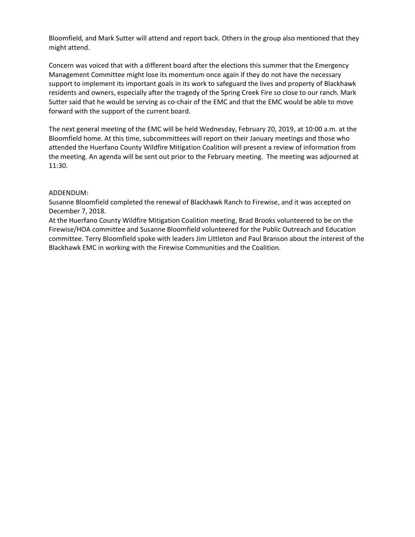Bloomfield, and Mark Sutter will attend and report back. Others in the group also mentioned that they might attend.

Concern was voiced that with a different board after the elections this summer that the Emergency Management Committee might lose its momentum once again if they do not have the necessary support to implement its important goals in its work to safeguard the lives and property of Blackhawk residents and owners, especially after the tragedy of the Spring Creek Fire so close to our ranch. Mark Sutter said that he would be serving as co-chair of the EMC and that the EMC would be able to move forward with the support of the current board.

The next general meeting of the EMC will be held Wednesday, February 20, 2019, at 10:00 a.m. at the Bloomfield home. At this time, subcommittees will report on their January meetings and those who attended the Huerfano County Wildfire Mitigation Coalition will present a review of information from the meeting. An agenda will be sent out prior to the February meeting. The meeting was adjourned at 11:30.

### ADDENDUM:

Susanne Bloomfield completed the renewal of Blackhawk Ranch to Firewise, and it was accepted on December 7, 2018.

At the Huerfano County Wildfire Mitigation Coalition meeting, Brad Brooks volunteered to be on the Firewise/HOA committee and Susanne Bloomfield volunteered for the Public Outreach and Education committee. Terry Bloomfield spoke with leaders Jim Littleton and Paul Branson about the interest of the Blackhawk EMC in working with the Firewise Communities and the Coalition.